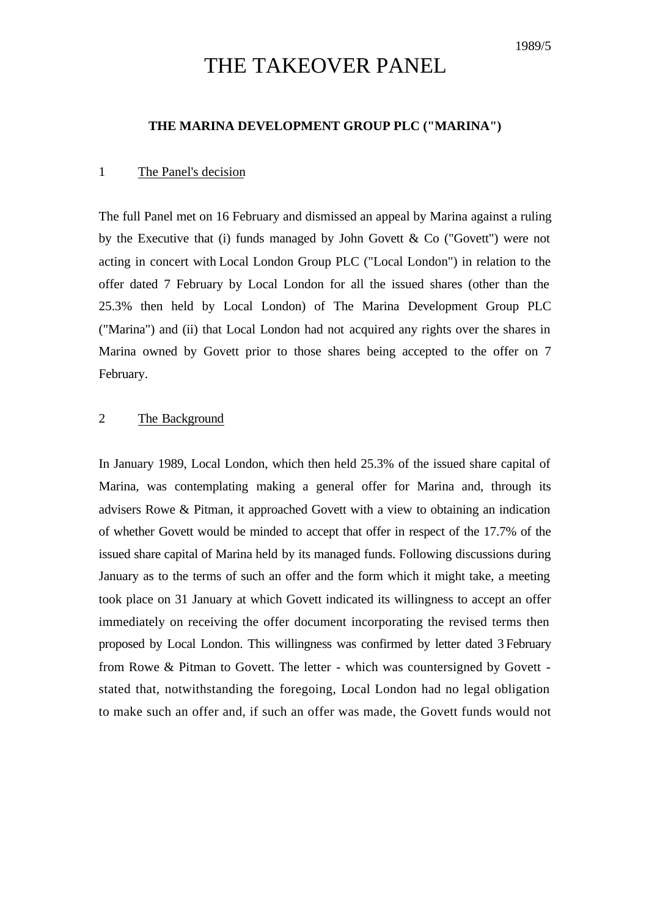# THE TAKEOVER PANEL

## **THE MARINA DEVELOPMENT GROUP PLC ("MARINA")**

### 1 The Panel's decision

The full Panel met on 16 February and dismissed an appeal by Marina against a ruling by the Executive that (i) funds managed by John Govett  $\&$  Co ("Govett") were not acting in concert with Local London Group PLC ("Local London") in relation to the offer dated 7 February by Local London for all the issued shares (other than the 25.3% then held by Local London) of The Marina Development Group PLC ("Marina") and (ii) that Local London had not acquired any rights over the shares in Marina owned by Govett prior to those shares being accepted to the offer on 7 February.

## 2 The Background

In January 1989, Local London, which then held 25.3% of the issued share capital of Marina, was contemplating making a general offer for Marina and, through its advisers Rowe & Pitman, it approached Govett with a view to obtaining an indication of whether Govett would be minded to accept that offer in respect of the 17.7% of the issued share capital of Marina held by its managed funds. Following discussions during January as to the terms of such an offer and the form which it might take, a meeting took place on 31 January at which Govett indicated its willingness to accept an offer immediately on receiving the offer document incorporating the revised terms then proposed by Local London. This willingness was confirmed by letter dated 3 February from Rowe & Pitman to Govett. The letter - which was countersigned by Govett stated that, notwithstanding the foregoing, Local London had no legal obligation to make such an offer and, if such an offer was made, the Govett funds would not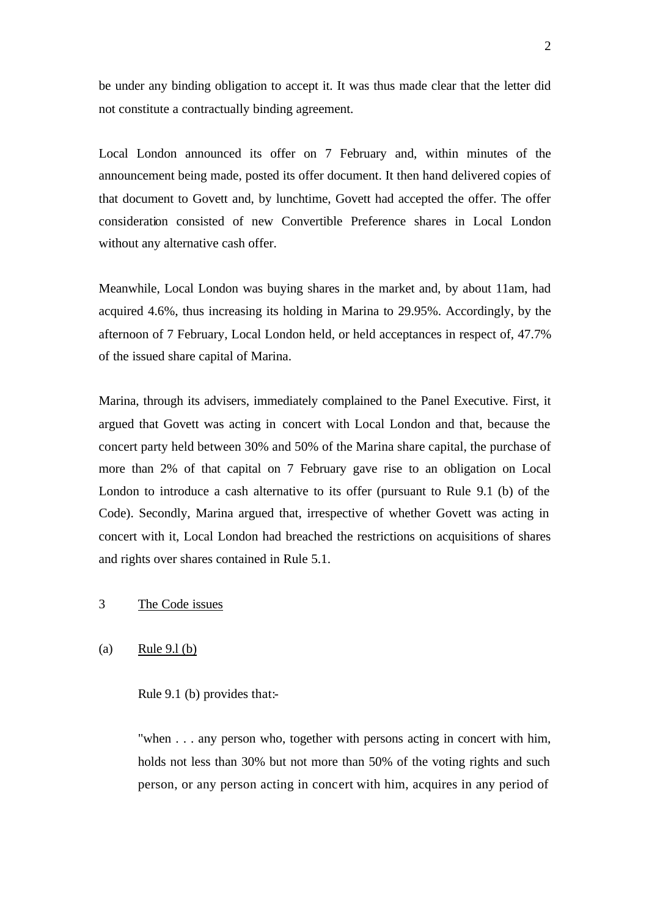be under any binding obligation to accept it. It was thus made clear that the letter did not constitute a contractually binding agreement.

Local London announced its offer on 7 February and, within minutes of the announcement being made, posted its offer document. It then hand delivered copies of that document to Govett and, by lunchtime, Govett had accepted the offer. The offer consideration consisted of new Convertible Preference shares in Local London without any alternative cash offer.

Meanwhile, Local London was buying shares in the market and, by about 11am, had acquired 4.6%, thus increasing its holding in Marina to 29.95%. Accordingly, by the afternoon of 7 February, Local London held, or held acceptances in respect of, 47.7% of the issued share capital of Marina.

Marina, through its advisers, immediately complained to the Panel Executive. First, it argued that Govett was acting in concert with Local London and that, because the concert party held between 30% and 50% of the Marina share capital, the purchase of more than 2% of that capital on 7 February gave rise to an obligation on Local London to introduce a cash alternative to its offer (pursuant to Rule 9.1 (b) of the Code). Secondly, Marina argued that, irrespective of whether Govett was acting in concert with it, Local London had breached the restrictions on acquisitions of shares and rights over shares contained in Rule 5.1.

# 3 The Code issues

## (a) Rule 9.l (b)

## Rule 9.1 (b) provides that:-

"when . . . any person who, together with persons acting in concert with him, holds not less than 30% but not more than 50% of the voting rights and such person, or any person acting in concert with him, acquires in any period of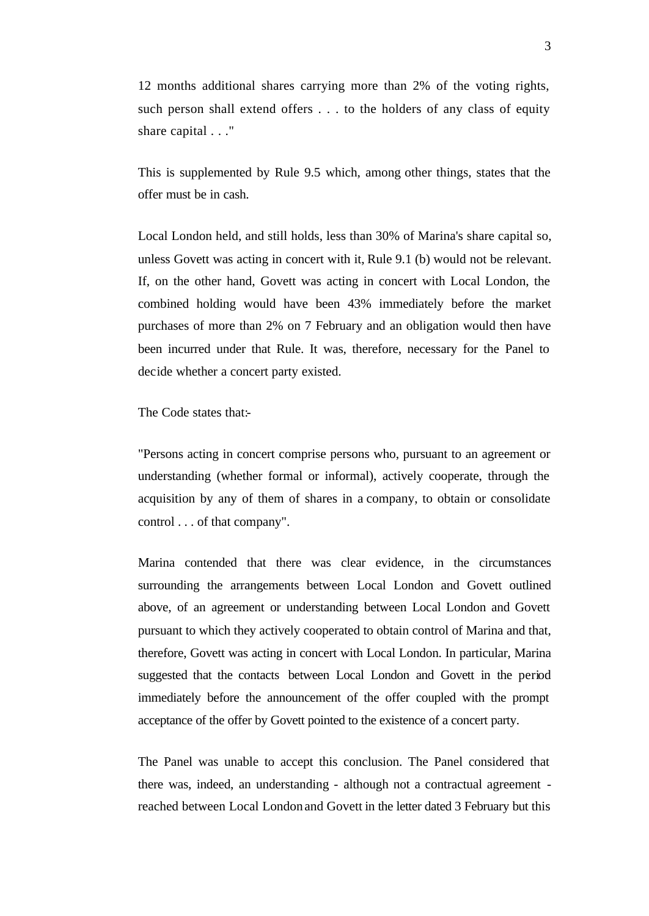12 months additional shares carrying more than 2% of the voting rights, such person shall extend offers . . . to the holders of any class of equity share capital . . ."

This is supplemented by Rule 9.5 which, among other things, states that the offer must be in cash.

Local London held, and still holds, less than 30% of Marina's share capital so, unless Govett was acting in concert with it, Rule 9.1 (b) would not be relevant. If, on the other hand, Govett was acting in concert with Local London, the combined holding would have been 43% immediately before the market purchases of more than 2% on 7 February and an obligation would then have been incurred under that Rule. It was, therefore, necessary for the Panel to decide whether a concert party existed.

The Code states that:

"Persons acting in concert comprise persons who, pursuant to an agreement or understanding (whether formal or informal), actively cooperate, through the acquisition by any of them of shares in a company, to obtain or consolidate control . . . of that company".

Marina contended that there was clear evidence, in the circumstances surrounding the arrangements between Local London and Govett outlined above, of an agreement or understanding between Local London and Govett pursuant to which they actively cooperated to obtain control of Marina and that, therefore, Govett was acting in concert with Local London. In particular, Marina suggested that the contacts between Local London and Govett in the period immediately before the announcement of the offer coupled with the prompt acceptance of the offer by Govett pointed to the existence of a concert party.

The Panel was unable to accept this conclusion. The Panel considered that there was, indeed, an understanding - although not a contractual agreement reached between Local London and Govett in the letter dated 3 February but this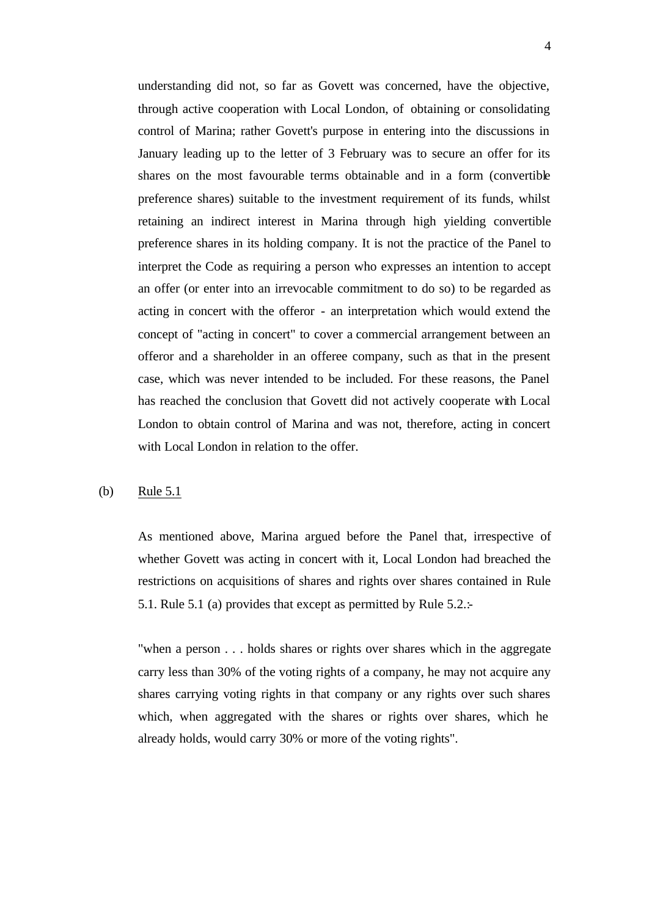understanding did not, so far as Govett was concerned, have the objective, through active cooperation with Local London, of obtaining or consolidating control of Marina; rather Govett's purpose in entering into the discussions in January leading up to the letter of 3 February was to secure an offer for its shares on the most favourable terms obtainable and in a form (convertible preference shares) suitable to the investment requirement of its funds, whilst retaining an indirect interest in Marina through high yielding convertible preference shares in its holding company. It is not the practice of the Panel to interpret the Code as requiring a person who expresses an intention to accept an offer (or enter into an irrevocable commitment to do so) to be regarded as acting in concert with the offeror - an interpretation which would extend the concept of "acting in concert" to cover a commercial arrangement between an offeror and a shareholder in an offeree company, such as that in the present case, which was never intended to be included. For these reasons, the Panel has reached the conclusion that Govett did not actively cooperate with Local London to obtain control of Marina and was not, therefore, acting in concert with Local London in relation to the offer.

### (b) Rule 5.1

As mentioned above, Marina argued before the Panel that, irrespective of whether Govett was acting in concert with it, Local London had breached the restrictions on acquisitions of shares and rights over shares contained in Rule 5.1. Rule 5.1 (a) provides that except as permitted by Rule 5.2.:-

"when a person . . . holds shares or rights over shares which in the aggregate carry less than 30% of the voting rights of a company, he may not acquire any shares carrying voting rights in that company or any rights over such shares which, when aggregated with the shares or rights over shares, which he already holds, would carry 30% or more of the voting rights".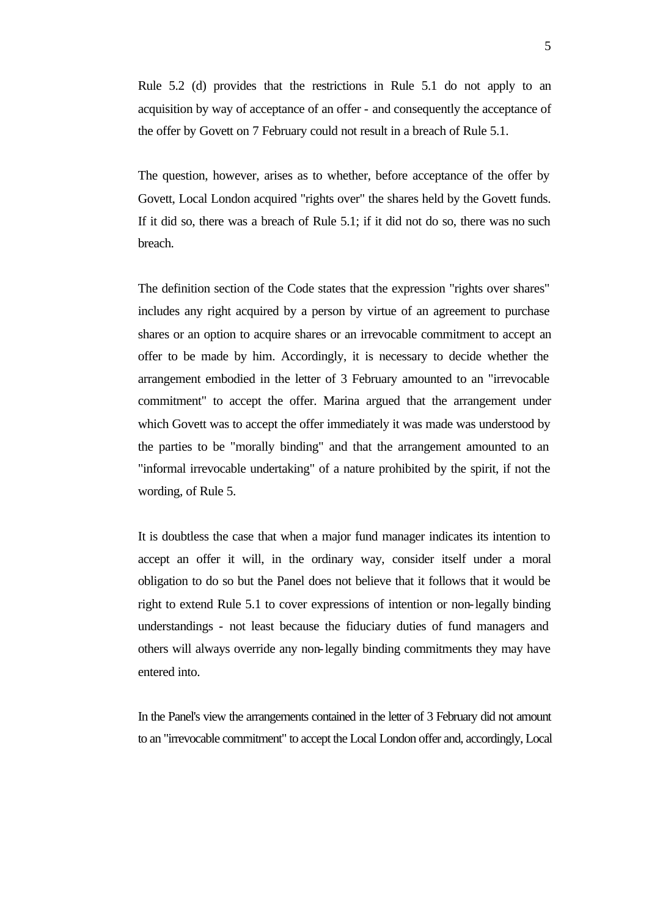Rule 5.2 (d) provides that the restrictions in Rule 5.1 do not apply to an acquisition by way of acceptance of an offer - and consequently the acceptance of the offer by Govett on 7 February could not result in a breach of Rule 5.1.

The question, however, arises as to whether, before acceptance of the offer by Govett, Local London acquired "rights over" the shares held by the Govett funds. If it did so, there was a breach of Rule 5.1; if it did not do so, there was no such breach.

The definition section of the Code states that the expression "rights over shares" includes any right acquired by a person by virtue of an agreement to purchase shares or an option to acquire shares or an irrevocable commitment to accept an offer to be made by him. Accordingly, it is necessary to decide whether the arrangement embodied in the letter of 3 February amounted to an "irrevocable commitment" to accept the offer. Marina argued that the arrangement under which Govett was to accept the offer immediately it was made was understood by the parties to be "morally binding" and that the arrangement amounted to an "informal irrevocable undertaking" of a nature prohibited by the spirit, if not the wording, of Rule 5.

It is doubtless the case that when a major fund manager indicates its intention to accept an offer it will, in the ordinary way, consider itself under a moral obligation to do so but the Panel does not believe that it follows that it would be right to extend Rule 5.1 to cover expressions of intention or non-legally binding understandings - not least because the fiduciary duties of fund managers and others will always override any non-legally binding commitments they may have entered into.

In the Panel's view the arrangements contained in the letter of 3 February did not amount to an "irrevocable commitment" to accept the Local London offer and, accordingly, Local